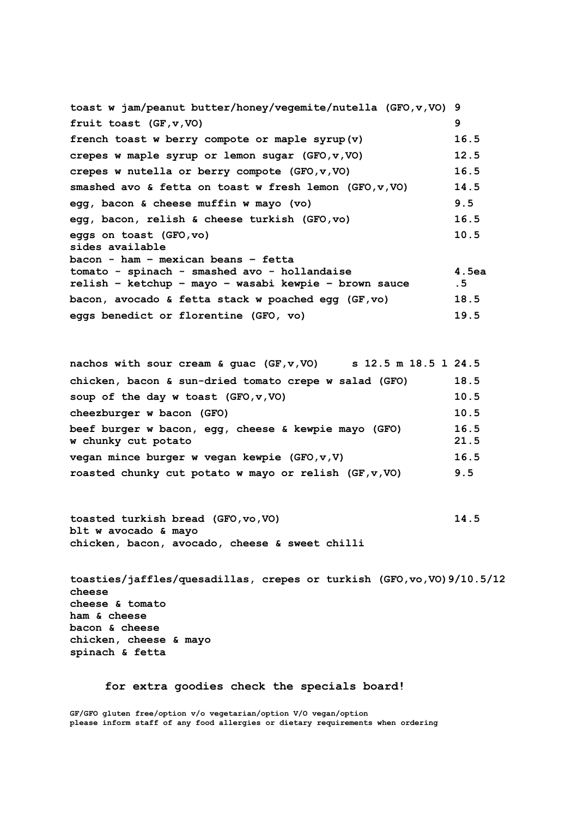| toast w jam/peanut butter/honey/vegemite/nutella (GFO, v, VO) 9 |          |
|-----------------------------------------------------------------|----------|
| fruit toast (GF, v, VO)                                         | 9        |
| french toast w berry compote or maple syrup(v)                  | 16.5     |
| crepes w maple syrup or lemon sugar (GFO, v, VO)                | 12.5     |
| crepes w nutella or berry compote $(GFO, v, VO)$                | 16.5     |
| smashed avo & fetta on toast w fresh lemon $(GFO, v, VO)$       | 14.5     |
| egg, bacon & cheese muffin w mayo (vo)                          | 9.5      |
| egg, bacon, relish & cheese turkish (GFO, vo)                   | 16.5     |
| eggs on toast (GFO, vo)<br>sides available                      | 10.5     |
| bacon - ham - mexican beans - fetta                             |          |
| tomato - spinach - smashed avo - hollandaise                    | $4.5$ ea |
| relish - ketchup - mayo - wasabi kewpie - brown sauce           | .5       |
| bacon, avocado & fetta stack w poached eqq (GF,vo)              | 18.5     |
| eggs benedict or florentine (GFO, vo)                           | 19.5     |
|                                                                 |          |

**nachos with sour cream & guac (GF,v,VO) s 12.5 m 18.5 l 24.5 chicken, bacon & sun-dried tomato crepe w salad (GFO) 18.5 soup of the day w toast (GFO,v,VO) 10.5 cheezburger w bacon (GFO) 10.5 beef burger w bacon, egg, cheese & kewpie mayo (GFO) 16.5 w chunky cut potato 21.5 vegan mince burger w vegan kewpie (GFO,v,V) 16.5 roasted chunky cut potato w mayo or relish (GF,v,VO) 9.5**

**toasted turkish bread (GFO,vo,VO) 14.5 blt w avocado & mayo chicken, bacon, avocado, cheese & sweet chilli**

**toasties/jaffles/quesadillas, crepes or turkish (GFO,vo,VO)9/10.5/12 cheese cheese & tomato ham & cheese bacon & cheese chicken, cheese & mayo spinach & fetta**

**for extra goodies check the specials board!**

**GF/GFO gluten free/option v/o vegetarian/option V/O vegan/option please inform staff of any food allergies or dietary requirements when ordering**